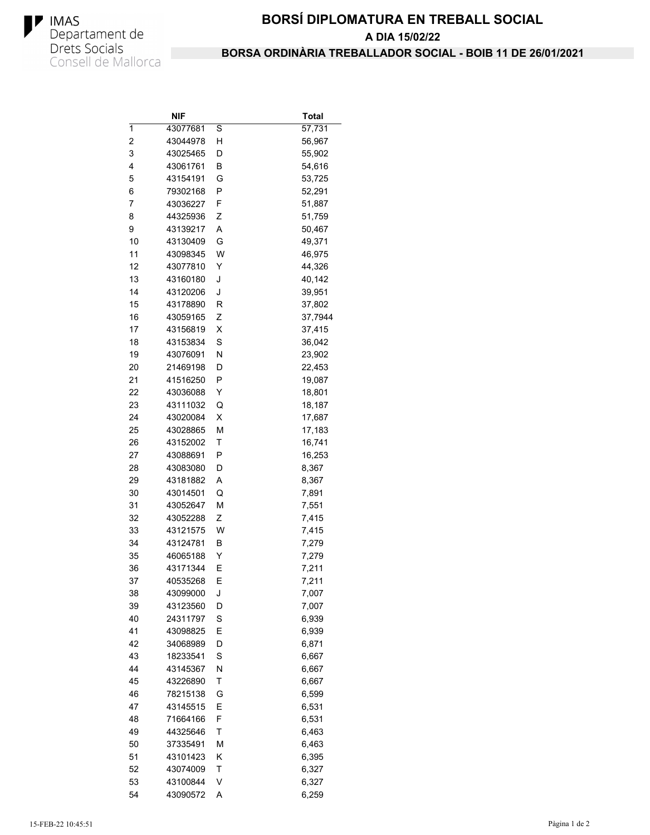

## **BORSÍ DIPLOMATURA EN TREBALL SOCIAL** A DIA 15/02/22 BORSA ORDINÀRIA TREBALLADOR SOCIAL - BOIB 11 DE 26/01/2021

|                | NIF                  |   | Total   |
|----------------|----------------------|---|---------|
| 1              | 43077681             | S | 57,731  |
| $\overline{c}$ | 43044978             | н | 56,967  |
| 3              | 43025465             | D | 55,902  |
| 4              | 43061761             | В | 54,616  |
| 5              | 43154191             | G | 53,725  |
| 6              | 79302168             | P | 52,291  |
| 7              | 43036227             | F | 51,887  |
| 8              | 44325936             | Ζ | 51,759  |
| 9              | 43139217             | Α | 50,467  |
| 10             | 43130409             | G | 49,371  |
| 11             | 43098345             | W | 46,975  |
| 12             | 43077810             | Y | 44,326  |
| 13             | 43160180             | J | 40,142  |
| 14             | 43120206             | J | 39,951  |
| 15             | 43178890             | R | 37,802  |
| 16             | 43059165             | Ζ | 37,7944 |
| 17             | 43156819             | X | 37,415  |
| 18             | 43153834             | S | 36,042  |
| 19             | 43076091             | N | 23,902  |
| 20             | 21469198             | D | 22,453  |
| 21             | 41516250             | Ρ | 19,087  |
| 22             | 43036088             | Y | 18,801  |
| 23             | 43111032             | Q | 18,187  |
| 24             | 43020084             | X | 17,687  |
| 25             | 43028865             | М | 17,183  |
| 26             | 43152002             | Τ | 16,741  |
| 27             | 43088691             | Ρ | 16,253  |
| 28             | 43083080             | D | 8,367   |
| 29             | 43181882             | Α | 8,367   |
| 30             | 43014501             | Q | 7,891   |
| 31             | 43052647             | М | 7,551   |
| 32             | 43052288             | Ζ | 7,415   |
| 33             | 43121575             | W | 7,415   |
| 34             | 43124781             | В | 7,279   |
| 35             | 46065188             | Υ | 7,279   |
| 36             | 43171344             | Ε | 7,211   |
| 37             | 40535268             | Ε | 7,211   |
| 38             | 43099000             | J | 7,007   |
|                |                      |   |         |
| 39<br>40       | 43123560<br>24311797 | D | 7,007   |
|                |                      | S | 6,939   |
| 41             | 43098825             | Е | 6,939   |
| 42             | 34068989             | D | 6,871   |
| 43             | 18233541             | S | 6,667   |
| 44             | 43145367             | Ν | 6,667   |
| 45             | 43226890             | Τ | 6,667   |
| 46             | 78215138             | G | 6,599   |
| 47             | 43145515             | Ε | 6,531   |
| 48             | 71664166             | F | 6,531   |
| 49             | 44325646             | Τ | 6,463   |
| 50             | 37335491             | М | 6,463   |
| 51             | 43101423             | Κ | 6,395   |
| 52             | 43074009             | Т | 6,327   |
| 53             | 43100844             | ٧ | 6,327   |
| 54             | 43090572             | Α | 6,259   |